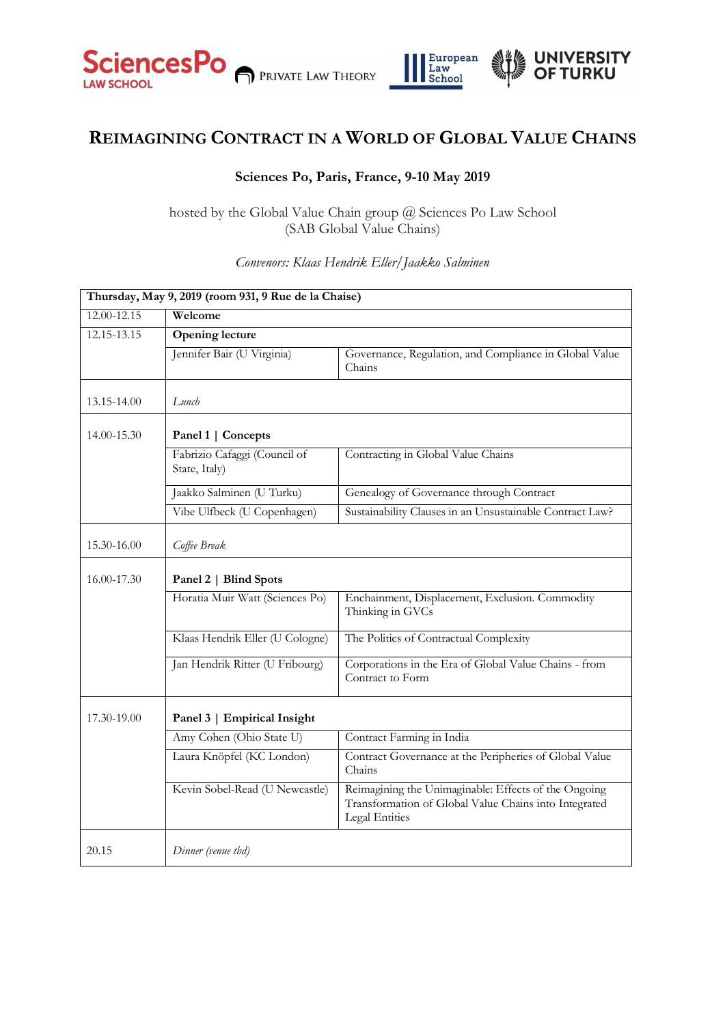



## **REIMAGINING CONTRACT IN A WORLD OF GLOBAL VALUE CHAINS**

## **Sciences Po, Paris, France, 9-10 May 2019**

hosted by the Global Value Chain group @ Sciences Po Law School (SAB Global Value Chains)

## **Thursday, May 9, 2019 (room 931, 9 Rue de la Chaise)** 12.00-12.15 **Welcome** 12.15-13.15 **Opening lecture**  Jennifer Bair (U Virginia) Governance, Regulation, and Compliance in Global Value Chains 13.15-14.00 *Lunch* 14.00-15.30 **Panel 1 | Concepts** Fabrizio Cafaggi (Council of State, Italy) Contracting in Global Value Chains Jaakko Salminen (U Turku) Genealogy of Governance through Contract Vibe Ulfbeck (U Copenhagen) Sustainability Clauses in an Unsustainable Contract Law? 15.30-16.00 *Coffee Break*  16.00-17.30 **Panel 2 | Blind Spots** Horatia Muir Watt (Sciences Po) Enchainment, Displacement, Exclusion. Commodity Thinking in GVCs Klaas Hendrik Eller (U Cologne) The Politics of Contractual Complexity Jan Hendrik Ritter (U Fribourg) Corporations in the Era of Global Value Chains - from Contract to Form 17.30-19.00 **Panel 3 | Empirical Insight**  Amy Cohen (Ohio State U) Contract Farming in India Laura Knöpfel (KC London) Contract Governance at the Peripheries of Global Value Chains Kevin Sobel-Read (U Newcastle) Reimagining the Unimaginable: Effects of the Ongoing Transformation of Global Value Chains into Integrated Legal Entities 20.15 *Dinner (venue tbd)*

## *Convenors: Klaas Hendrik Eller/Jaakko Salminen*